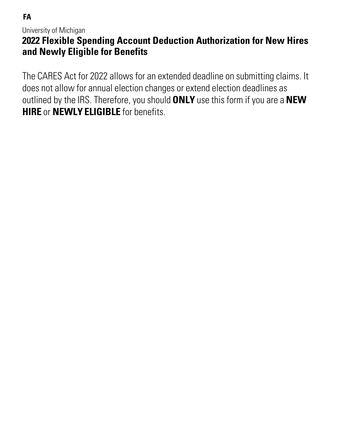**FA**

University of Michigan

# **2022 Flexible Spending Account Deduction Authorization for New Hires and Newly Eligible for Benefits**

The CARES Act for 2022 allows for an extended deadline on submitting claims. It does not allow for annual election changes or extend election deadlines as outlined by the IRS. Therefore, you should **ONLY** use this form if you are a **NEW HIRE** or **NEWLY ELIGIBLE** for benefits.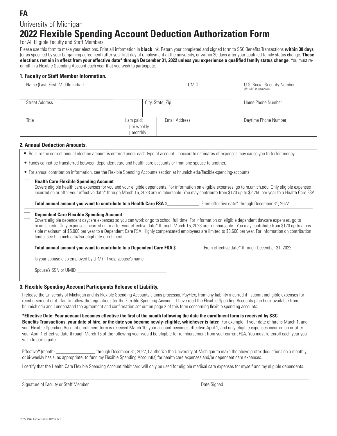## **FA** University of Michigan

# **2022 Flexible Spending Account Deduction Authorization Form**

For All Eligible Faculty and Staff Members.

Please use this form to make your elections. Print all information in **black** ink. Return your completed and signed form to SSC Benefits Transactions **within 30 days** (or as specified by your bargaining agreement) after your first day of employment at the university, or within 30 days after your qualified family status change. **These elections remain in effect from your effective date\* through December 31, 2022 unless you experience a qualified family status change.** You must reenroll in a Flexible Spending Account each year that you wish to participate.

#### **1. Faculty or Staff Member Information.**

| Name (Last, First, Middle Initial)                                                                                                                                                                                                                                                                                                                                                                                                                                                                                              |                                    |                  | <b>UMID</b> | U.S. Social Security Number<br>(If UMID is unknown) |  |
|---------------------------------------------------------------------------------------------------------------------------------------------------------------------------------------------------------------------------------------------------------------------------------------------------------------------------------------------------------------------------------------------------------------------------------------------------------------------------------------------------------------------------------|------------------------------------|------------------|-------------|-----------------------------------------------------|--|
| <b>Street Address</b>                                                                                                                                                                                                                                                                                                                                                                                                                                                                                                           |                                    | City, State, Zip |             | Home Phone Number                                   |  |
| Title                                                                                                                                                                                                                                                                                                                                                                                                                                                                                                                           | l am paid:<br>bi-weekly<br>monthly | Email Address    |             | Daytime Phone Number                                |  |
| <b>2. Annual Deduction Amounts.</b>                                                                                                                                                                                                                                                                                                                                                                                                                                                                                             |                                    |                  |             |                                                     |  |
| • Be sure the correct annual election amount is entered under each type of account. Inaccurate estimates of expenses may cause you to forfeit money.                                                                                                                                                                                                                                                                                                                                                                            |                                    |                  |             |                                                     |  |
| • Funds cannot be transferred between dependent care and health care accounts or from one spouse to another.                                                                                                                                                                                                                                                                                                                                                                                                                    |                                    |                  |             |                                                     |  |
| • For annual contribution information, see the Flexible Spending Accounts section at hr.umich.edu/flexible-spending-accounts                                                                                                                                                                                                                                                                                                                                                                                                    |                                    |                  |             |                                                     |  |
| <b>Health Care Flexible Spending Account</b><br>Covers eligible health care expenses for you and your eligible dependents. For information on eligible expenses, go to hr.umich.edu. Only eligible expenses<br>incurred on or after your effective date* through March 15, 2023 are reimbursable. You may contribute from \$120 up to \$2,750 per year to a Health Care FSA.                                                                                                                                                    |                                    |                  |             |                                                     |  |
|                                                                                                                                                                                                                                                                                                                                                                                                                                                                                                                                 |                                    |                  |             |                                                     |  |
| <b>Dependent Care Flexible Spending Account</b><br>Covers eligible dependent daycare expenses so you can work or go to school full time. For information on eligible dependent daycare expenses, go to<br>hr.umich.edu. Only expenses incurred on or after your effective date* through March 15, 2023 are reimbursable. You may contribute from \$120 up to a pos-<br>sible maximum of \$5,000 per year to a Dependent Care FSA. Highly compensated employees are limited to \$3,600 per year. For information on contribution |                                    |                  |             |                                                     |  |

limits, see hr.umich.edu/fsa-eligibility-enrollment

| Total annual amount you want to contribute to a Dependent Care FSA \$ | From effective date* through December 31, 2022 |
|-----------------------------------------------------------------------|------------------------------------------------|
|-----------------------------------------------------------------------|------------------------------------------------|

Is your spouse also employed by U-M? If yes, spouse's name

Spouse's SSN or UMID

#### **3. Flexible Spending Account Participants Release of Liability.**

I release the University of Michigan and its Flexible Spending Accounts claims processor, PayFlex, from any liability incurred if I submit ineligible expenses for reimbursement or if I fail to follow the regulations for the Flexible Spending Account. I have read the Flexible Spending Accounts plan book available from hr.umich.edu and I understand the agreement and confirmation set out on page 2 of this form concerning flexible spending accounts.

**\*Effective Date: Your account becomes effective the first of the month following the date the enrollment form is received by SSC**  Benefits Transactions, your date of hire, or the date you become newly-eligible, whichever is later. For example, if your date of hire is March 1, and your Flexible Spending Account enrollment form is received March 10, your account becomes effective April 1, and only eligible expenses incurred on or after your April 1 effective date through March 15 of the following year would be eligible for reimbursement from your current FSA. You must re-enroll each year you wish to participate.

Effective**\*** (month) \_\_\_\_\_\_\_\_\_\_\_\_\_\_\_\_ through December 31, 2022, I authorize the University of Michigan to make the above pretax deductions on a monthly or bi-weekly basis, as appropriate, to fund my Flexible Spending Account(s) for health care expenses and/or dependent care expenses.

I certify that the Health Care Flexible Spending Account debit card will only be used for eligible medical care expenses for myself and my eligible dependents.

Signature of Faculty or Staff Member **Date Signed** Date Signed **Date Signed** Date Signed